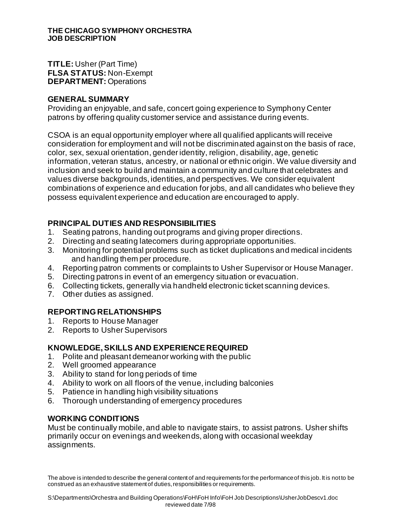#### **THE CHICAGO SYMPHONY ORCHESTRA JOB DESCRIPTION**

**TITLE:** Usher (Part Time) **FLSA STATUS:** Non-Exempt **DEPARTMENT:** Operations

#### **GENERAL SUMMARY**

Providing an enjoyable, and safe, concert going experience to Symphony Center patrons by offering quality customer service and assistance during events.

CSOA is an equal opportunity employer where all qualified applicants will receive consideration for employment and will not be discriminated against on the basis of race, color, sex, sexual orientation, gender identity, religion, disability, age, genetic information, veteran status, ancestry, or national or ethnic origin. We value diversity and inclusion and seek to build and maintain a community and culture that celebrates and values diverse backgrounds, identities, and perspectives. We consider equivalent combinations of experience and education for jobs, and all candidates who believe they possess equivalent experience and education are encouraged to apply.

# **PRINCIPAL DUTIES AND RESPONSIBILITIES**

- 1. Seating patrons, handing out programs and giving proper directions.
- 2. Directing and seating latecomers during appropriate opportunities.
- 3. Monitoring for potential problems such as ticket duplications and medical incidents and handling them per procedure.
- 4. Reporting patron comments or complaints to Usher Supervisor or House Manager.
- 5. Directing patrons in event of an emergency situation or evacuation.
- 6. Collecting tickets, generally via handheld electronic ticket scanning devices.
- 7. Other duties as assigned.

## **REPORTING RELATIONSHIPS**

- 1. Reports to House Manager
- 2. Reports to Usher Supervisors

## **KNOWLEDGE, SKILLS AND EXPERIENCE REQUIRED**

- 1. Polite and pleasant demeanor working with the public
- 2. Well groomed appearance
- 3. Ability to stand for long periods of time
- 4. Ability to work on all floors of the venue, including balconies
- 5. Patience in handling high visibility situations
- 6. Thorough understanding of emergency procedures

## **WORKING CONDITIONS**

Must be continually mobile, and able to navigate stairs, to assist patrons. Usher shifts primarily occur on evenings and weekends, along with occasional weekday assignments.

The above is intended to describe the general content of and requirements for the performance of this job. It is not to be construed as an exhaustive statement of duties, responsibilities or requirements.